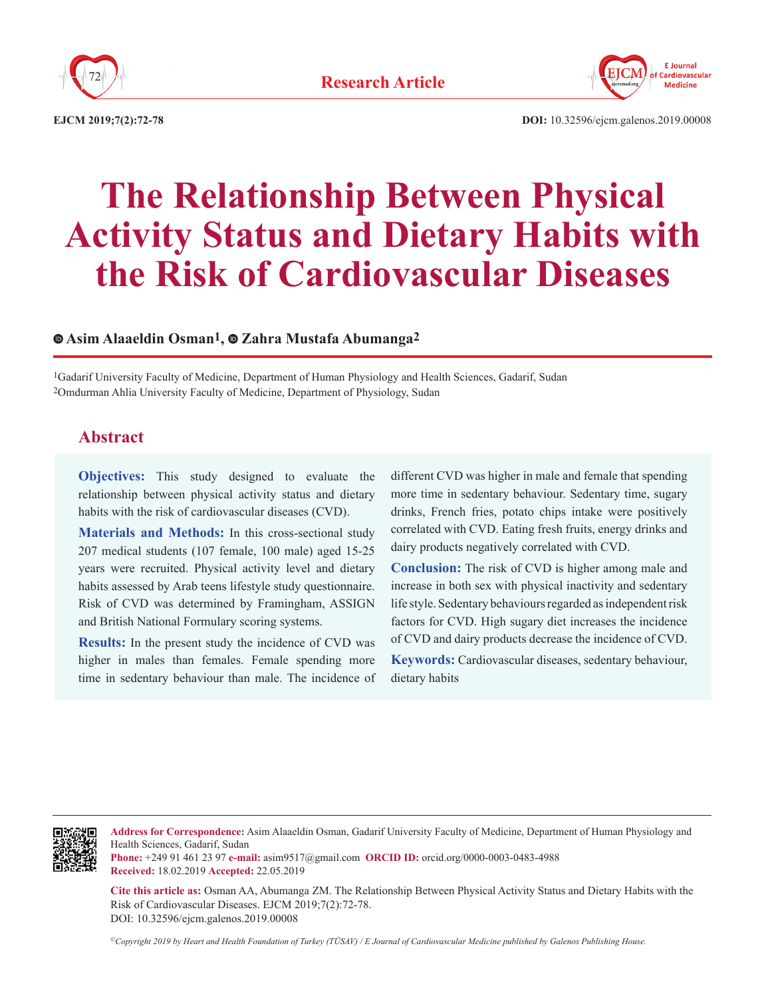



**EJCM 2019;7(2):72-78**

**DOI:** 10.32596/ejcm.galenos.2019.00008

# **The Relationship Between Physical Activity Status and Dietary Habits with the Risk of Cardiovascular Diseases**

### **Asim Alaaeldin Osman1,Zahra Mustafa Abumanga2**

1Gadarif University Faculty of Medicine, Department of Human Physiology and Health Sciences, Gadarif, Sudan 2Omdurman Ahlia University Faculty of Medicine, Department of Physiology, Sudan

# **Abstract**

**Objectives:** This study designed to evaluate the relationship between physical activity status and dietary habits with the risk of cardiovascular diseases (CVD).

**Materials and Methods:** In this cross-sectional study 207 medical students (107 female, 100 male) aged 15-25 years were recruited. Physical activity level and dietary habits assessed by Arab teens lifestyle study questionnaire. Risk of CVD was determined by Framingham, ASSIGN and British National Formulary scoring systems.

**Results:** In the present study the incidence of CVD was higher in males than females. Female spending more time in sedentary behaviour than male. The incidence of different CVD was higher in male and female that spending more time in sedentary behaviour. Sedentary time, sugary drinks, French fries, potato chips intake were positively correlated with CVD. Eating fresh fruits, energy drinks and dairy products negatively correlated with CVD.

**Conclusion:** The risk of CVD is higher among male and increase in both sex with physical inactivity and sedentary life style. Sedentary behaviours regarded as independent risk factors for CVD. High sugary diet increases the incidence of CVD and dairy products decrease the incidence of CVD.

**Keywords:** Cardiovascular diseases, sedentary behaviour, dietary habits



**Address for Correspondence:** Asim Alaaeldin Osman, Gadarif University Faculty of Medicine, Department of Human Physiology and Health Sciences, Gadarif, Sudan

**Phone:** +249 91 461 23 97 **e-mail:** asim9517@gmail.com **ORCID ID:** orcid.org/0000-0003-0483-4988 **Received:** 18.02.2019 **Accepted:** 22.05.2019

**Cite this article as:** Osman AA, Abumanga ZM. The Relationship Between Physical Activity Status and Dietary Habits with the Risk of Cardiovascular Diseases. EJCM 2019;7(2):72-78. DOI: 10.32596/ejcm.galenos.2019.00008

*©Copyright 2019 by Heart and Health Foundation of Turkey (TÜSAV) / E Journal of Cardiovascular Medicine published by Galenos Publishing House.*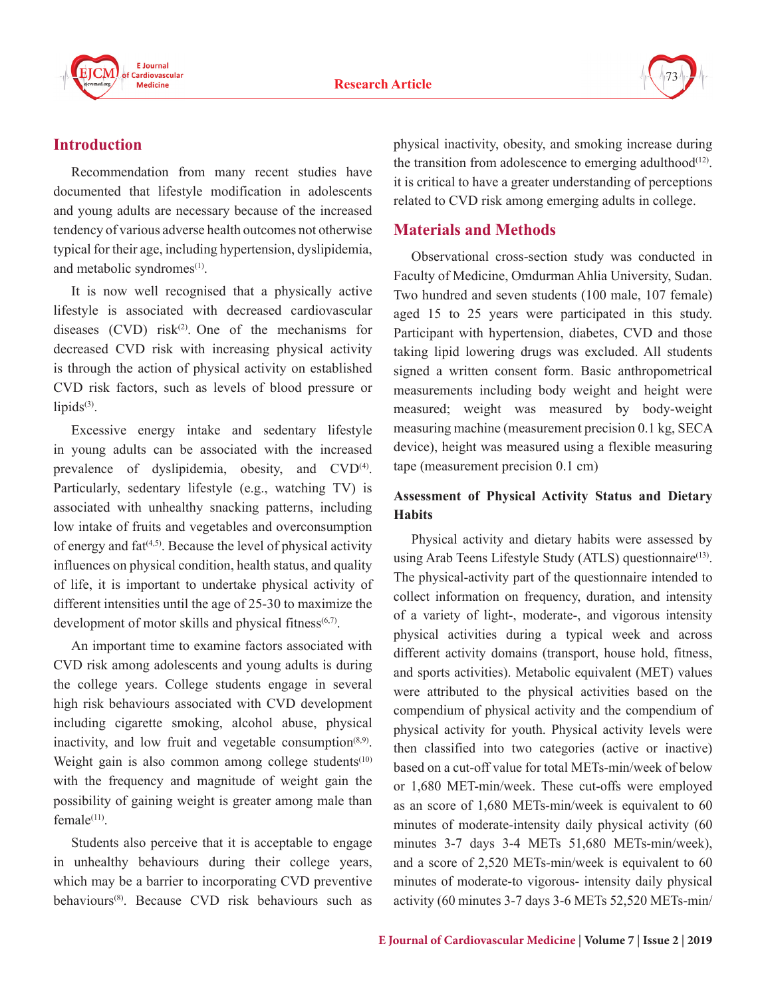



# **Introduction**

Recommendation from many recent studies have documented that lifestyle modification in adolescents and young adults are necessary because of the increased tendency of various adverse health outcomes not otherwise typical for their age, including hypertension, dyslipidemia, and metabolic syndromes<sup>(1)</sup>.

It is now well recognised that a physically active lifestyle is associated with decreased cardiovascular diseases  $(CVD)$  risk<sup>(2)</sup>. One of the mechanisms for decreased CVD risk with increasing physical activity is through the action of physical activity on established CVD risk factors, such as levels of blood pressure or lipids $(3)$ .

Excessive energy intake and sedentary lifestyle in young adults can be associated with the increased prevalence of dyslipidemia, obesity, and CVD<sup>(4)</sup>. Particularly, sedentary lifestyle (e.g., watching TV) is associated with unhealthy snacking patterns, including low intake of fruits and vegetables and overconsumption of energy and fat<sup>(4,5)</sup>. Because the level of physical activity influences on physical condition, health status, and quality of life, it is important to undertake physical activity of different intensities until the age of 25-30 to maximize the development of motor skills and physical fitness<sup>(6,7)</sup>.

An important time to examine factors associated with CVD risk among adolescents and young adults is during the college years. College students engage in several high risk behaviours associated with CVD development including cigarette smoking, alcohol abuse, physical inactivity, and low fruit and vegetable consumption<sup> $(8,9)$ </sup>. Weight gain is also common among college students<sup> $(10)$ </sup> with the frequency and magnitude of weight gain the possibility of gaining weight is greater among male than female $(11)$ .

Students also perceive that it is acceptable to engage in unhealthy behaviours during their college years, which may be a barrier to incorporating CVD preventive behaviours(8). Because CVD risk behaviours such as physical inactivity, obesity, and smoking increase during the transition from adolescence to emerging adulthood<sup> $(12)$ </sup>. it is critical to have a greater understanding of perceptions related to CVD risk among emerging adults in college.

## **Materials and Methods**

Observational cross-section study was conducted in Faculty of Medicine, Omdurman Ahlia University, Sudan. Two hundred and seven students (100 male, 107 female) aged 15 to 25 years were participated in this study. Participant with hypertension, diabetes, CVD and those taking lipid lowering drugs was excluded. All students signed a written consent form. Basic anthropometrical measurements including body weight and height were measured; weight was measured by body-weight measuring machine (measurement precision 0.1 kg, SECA device), height was measured using a flexible measuring tape (measurement precision 0.1 cm)

# **Assessment of Physical Activity Status and Dietary Habits**

Physical activity and dietary habits were assessed by using Arab Teens Lifestyle Study (ATLS) questionnaire<sup>(13)</sup>. The physical-activity part of the questionnaire intended to collect information on frequency, duration, and intensity of a variety of light-, moderate-, and vigorous intensity physical activities during a typical week and across different activity domains (transport, house hold, fitness, and sports activities). Metabolic equivalent (MET) values were attributed to the physical activities based on the compendium of physical activity and the compendium of physical activity for youth. Physical activity levels were then classified into two categories (active or inactive) based on a cut-off value for total METs-min/week of below or 1,680 MET-min/week. These cut-offs were employed as an score of 1,680 METs-min/week is equivalent to 60 minutes of moderate-intensity daily physical activity (60 minutes 3-7 days 3-4 METs 51,680 METs-min/week), and a score of 2,520 METs-min/week is equivalent to 60 minutes of moderate-to vigorous- intensity daily physical activity (60 minutes 3-7 days 3-6 METs 52,520 METs-min/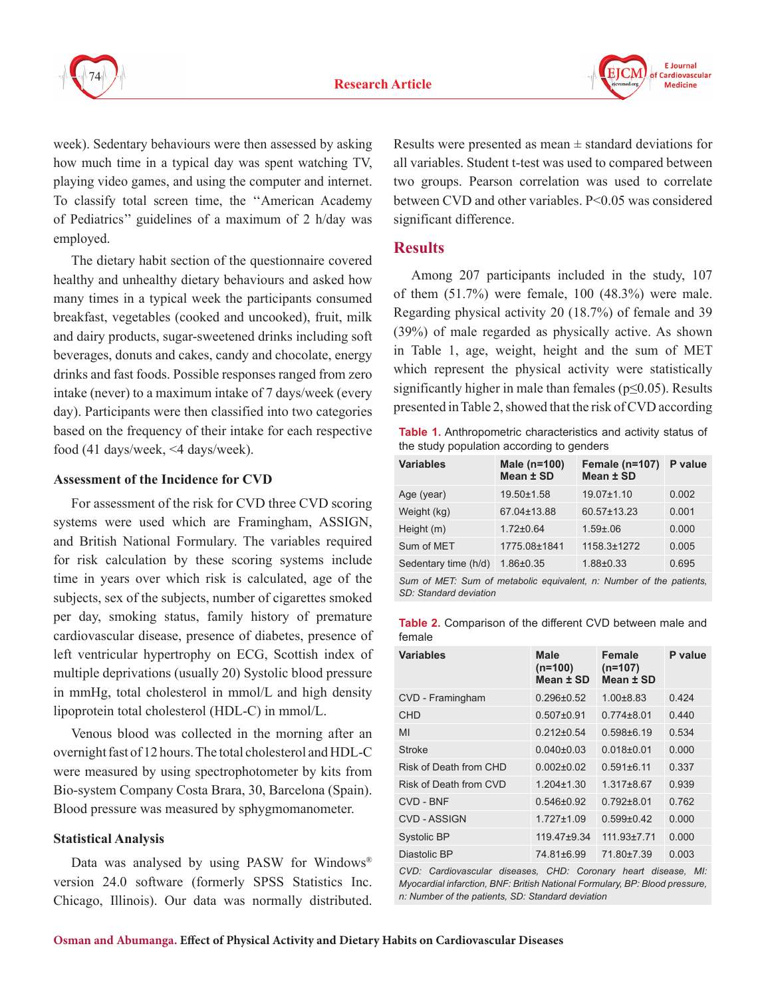



week). Sedentary behaviours were then assessed by asking how much time in a typical day was spent watching TV, playing video games, and using the computer and internet. To classify total screen time, the ''American Academy of Pediatrics'' guidelines of a maximum of 2 h/day was employed.

The dietary habit section of the questionnaire covered healthy and unhealthy dietary behaviours and asked how many times in a typical week the participants consumed breakfast, vegetables (cooked and uncooked), fruit, milk and dairy products, sugar-sweetened drinks including soft beverages, donuts and cakes, candy and chocolate, energy drinks and fast foods. Possible responses ranged from zero intake (never) to a maximum intake of 7 days/week (every day). Participants were then classified into two categories based on the frequency of their intake for each respective food (41 days/week, <4 days/week).

#### **Assessment of the Incidence for CVD**

For assessment of the risk for CVD three CVD scoring systems were used which are Framingham, ASSIGN, and British National Formulary. The variables required for risk calculation by these scoring systems include time in years over which risk is calculated, age of the subjects, sex of the subjects, number of cigarettes smoked per day, smoking status, family history of premature cardiovascular disease, presence of diabetes, presence of left ventricular hypertrophy on ECG, Scottish index of multiple deprivations (usually 20) Systolic blood pressure in mmHg, total cholesterol in mmol/L and high density lipoprotein total cholesterol (HDL-C) in mmol/L.

Venous blood was collected in the morning after an overnight fast of 12 hours. The total cholesterol and HDL-C were measured by using spectrophotometer by kits from Bio-system Company Costa Brara, 30, Barcelona (Spain). Blood pressure was measured by sphygmomanometer.

#### **Statistical Analysis**

Data was analysed by using PASW for Windows® version 24.0 software (formerly SPSS Statistics Inc. Chicago, Illinois). Our data was normally distributed. Results were presented as mean  $\pm$  standard deviations for all variables. Student t-test was used to compared between two groups. Pearson correlation was used to correlate between CVD and other variables. P˂0.05 was considered significant difference.

## **Results**

Among 207 participants included in the study, 107 of them (51.7%) were female, 100 (48.3%) were male. Regarding physical activity 20 (18.7%) of female and 39 (39%) of male regarded as physically active. As shown in Table 1, age, weight, height and the sum of MET which represent the physical activity were statistically significantly higher in male than females ( $p \le 0.05$ ). Results presented in Table 2, showed that the risk of CVD according

**Table 1.** Anthropometric characteristics and activity status of the study population according to genders

| <b>Variables</b>                                                  | Male (n=100)<br>Mean ± SD | Female (n=107)<br>Mean ± SD | P value |
|-------------------------------------------------------------------|---------------------------|-----------------------------|---------|
| Age (year)                                                        | 19.50±1.58                | $19.07 \pm 1.10$            | 0.002   |
| Weight (kg)                                                       | 67.04±13.88               | 60.57±13.23                 | 0.001   |
| Height (m)                                                        | $1.72 \pm 0.64$           | $1.59 \pm 0.06$             | 0.000   |
| Sum of MET                                                        | 1775.08±1841              | 1158.3±1272                 | 0.005   |
| Sedentary time (h/d)                                              | $1.86 \pm 0.35$           | $1.88 + 0.33$               | 0.695   |
| Sum of MET: Sum of matabolic equivalent n: Number of the nationte |                           |                             |         |

*Sum of MET: Sum of metabolic equivalent, n: Number of the patients, SD: Standard deviation*

|        | <b>Table 2.</b> Comparison of the different CVD between male and |  |  |  |
|--------|------------------------------------------------------------------|--|--|--|
| female |                                                                  |  |  |  |

| <b>Variables</b>       | Male<br>$(n=100)$<br>Mean ± SD | Female<br>$(n=107)$<br>Mean ± SD | P value |
|------------------------|--------------------------------|----------------------------------|---------|
| CVD - Framingham       | $0.296 \pm 0.52$               | $1.00 + 8.83$                    | 0.424   |
| <b>CHD</b>             | $0.507 \pm 0.91$               | $0.774 + 8.01$                   | 0.440   |
| MI                     | $0.212 + 0.54$                 | $0.598 \pm 6.19$                 | 0.534   |
| <b>Stroke</b>          | $0.040\pm0.03$                 | $0.018 + 0.01$                   | 0.000   |
| Risk of Death from CHD | $0.002 + 0.02$                 | $0.591 + 6.11$                   | 0.337   |
| Risk of Death from CVD | $1204+130$                     | 1 317+8 67                       | 0.939   |
| CVD - BNF              | $0.546 + 0.92$                 | $0.792 + 8.01$                   | 0 762   |
| CVD - ASSIGN           | 1 727+1 09                     | $0.599 + 0.42$                   | 0.000   |
| <b>Systolic BP</b>     | 119.47±9.34                    | $111.93 \pm 7.71$                | 0.000   |
| Diastolic BP           | 74.81±6.99                     | 71.80±7.39                       | 0.003   |

*CVD: Cardiovascular diseases, CHD: Coronary heart disease, MI: Myocardial infarction, BNF: British National Formulary, BP: Blood pressure, n: Number of the patients, SD: Standard deviation*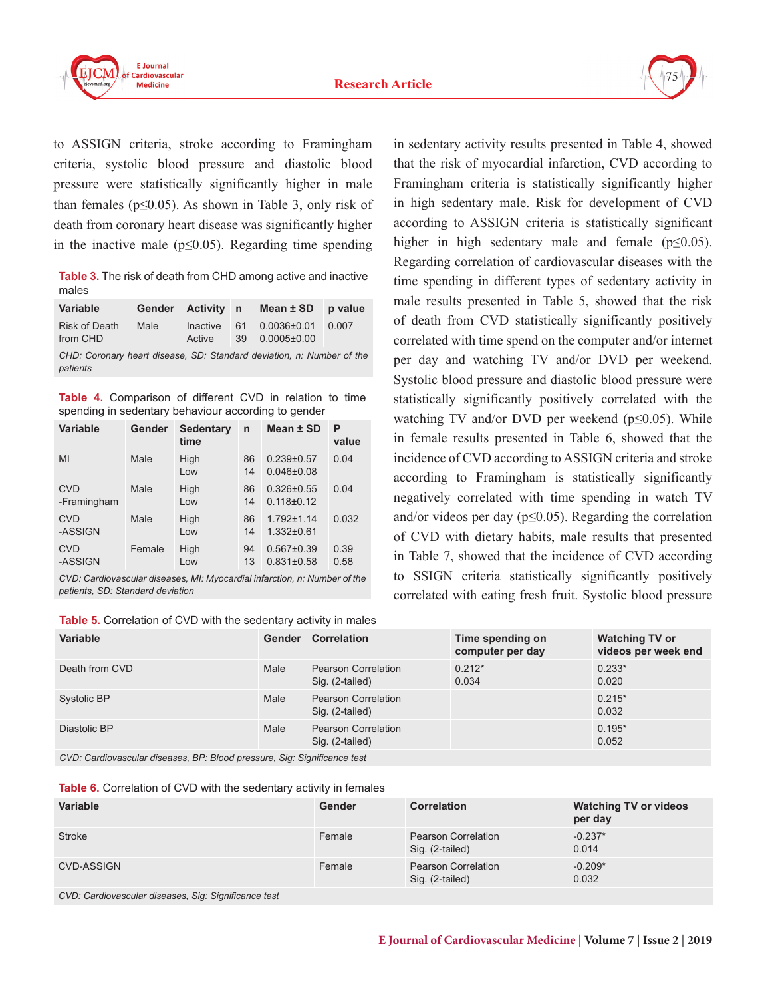



to ASSIGN criteria, stroke according to Framingham criteria, systolic blood pressure and diastolic blood pressure were statistically significantly higher in male than females ( $p \le 0.05$ ). As shown in Table 3, only risk of death from coronary heart disease was significantly higher in the inactive male ( $p \leq 0.05$ ). Regarding time spending

**Table 3.** The risk of death from CHD among active and inactive males

| <b>Variable</b>           |      |        | Gender Activity n Mean ± SD p value             |  |
|---------------------------|------|--------|-------------------------------------------------|--|
| Risk of Death<br>from CHD | Male | Active | Inactive 61 0.0036±0.01 0.007<br>39 0.0005±0.00 |  |

*CHD: Coronary heart disease, SD: Standard deviation, n: Number of the patients*

**Table 4.** Comparison of different CVD in relation to time spending in sedentary behaviour according to gender

| <b>Variable</b>           | Gender | Sedentary<br>time | $\mathsf{n}$ | Mean ± SD                            | P<br>value   |
|---------------------------|--------|-------------------|--------------|--------------------------------------|--------------|
| MI                        | Male   | High<br>Low       | 86<br>14     | $0.239 + 0.57$<br>$0.046 + 0.08$     | 0.04         |
| <b>CVD</b><br>-Framingham | Male   | High<br>Low       | 86<br>14     | $0.326 \pm 0.55$<br>$0.118 \pm 0.12$ | 0.04         |
| <b>CVD</b><br>-ASSIGN     | Male   | High<br>Low       | 86<br>14     | $1.792 \pm 1.14$<br>$1.332\pm0.61$   | 0.032        |
| <b>CVD</b><br>-ASSIGN     | Female | High<br>Low       | 94<br>13     | $0.567\pm0.39$<br>$0.831 \pm 0.58$   | 0.39<br>0.58 |

*CVD: Cardiovascular diseases, MI: Myocardial infarction, n: Number of the patients, SD: Standard deviation*

| <b>Table 5.</b> Correlation of CVD with the sedentary activity in males |  |  |
|-------------------------------------------------------------------------|--|--|
|-------------------------------------------------------------------------|--|--|

in sedentary activity results presented in Table 4, showed that the risk of myocardial infarction, CVD according to Framingham criteria is statistically significantly higher in high sedentary male. Risk for development of CVD according to ASSIGN criteria is statistically significant higher in high sedentary male and female ( $p \le 0.05$ ). Regarding correlation of cardiovascular diseases with the time spending in different types of sedentary activity in male results presented in Table 5, showed that the risk of death from CVD statistically significantly positively correlated with time spend on the computer and/or internet per day and watching TV and/or DVD per weekend. Systolic blood pressure and diastolic blood pressure were statistically significantly positively correlated with the watching TV and/or DVD per weekend (p≤0.05). While in female results presented in Table 6, showed that the incidence of CVD according to ASSIGN criteria and stroke according to Framingham is statistically significantly negatively correlated with time spending in watch TV and/or videos per day ( $p \le 0.05$ ). Regarding the correlation of CVD with dietary habits, male results that presented in Table 7, showed that the incidence of CVD according to SSIGN criteria statistically significantly positively correlated with eating fresh fruit. Systolic blood pressure

| <b>Variable</b>                                                                                                                                                                                                                                                                                                                                               | Gender | <b>Correlation</b>                            | Time spending on<br>computer per day | <b>Watching TV or</b><br>videos per week end |
|---------------------------------------------------------------------------------------------------------------------------------------------------------------------------------------------------------------------------------------------------------------------------------------------------------------------------------------------------------------|--------|-----------------------------------------------|--------------------------------------|----------------------------------------------|
| Death from CVD                                                                                                                                                                                                                                                                                                                                                | Male   | <b>Pearson Correlation</b><br>Sig. (2-tailed) | $0.212*$<br>0.034                    | $0.233*$<br>0.020                            |
| Systolic BP                                                                                                                                                                                                                                                                                                                                                   | Male   | <b>Pearson Correlation</b><br>Sig. (2-tailed) |                                      | $0.215*$<br>0.032                            |
| Diastolic BP                                                                                                                                                                                                                                                                                                                                                  | Male   | <b>Pearson Correlation</b><br>Sig. (2-tailed) |                                      | $0.195*$<br>0.052                            |
| $\alpha$ , $\alpha$ , $\alpha$ , $\alpha$ , $\alpha$ , $\alpha$ , $\alpha$ , $\alpha$ , $\alpha$ , $\alpha$ , $\alpha$ , $\alpha$ , $\alpha$ , $\alpha$ , $\alpha$ , $\alpha$ , $\alpha$ , $\alpha$ , $\alpha$ , $\alpha$ , $\alpha$ , $\alpha$ , $\alpha$ , $\alpha$ , $\alpha$ , $\alpha$ , $\alpha$ , $\alpha$ , $\alpha$ , $\alpha$ , $\alpha$ , $\alpha$ |        |                                               |                                      |                                              |

*CVD: Cardiovascular diseases, BP: Blood pressure, Sig: Significance test*

**Table 6.** Correlation of CVD with the sedentary activity in females

| Variable   | Gender | <b>Correlation</b>                     | <b>Watching TV or videos</b><br>per day |
|------------|--------|----------------------------------------|-----------------------------------------|
| Stroke     | Female | Pearson Correlation<br>Sig. (2-tailed) | $-0.237*$<br>0.014                      |
| CVD-ASSIGN | Female | Pearson Correlation<br>Sig. (2-tailed) | $-0.209*$<br>0.032                      |

*CVD: Cardiovascular diseases, Sig: Significance test*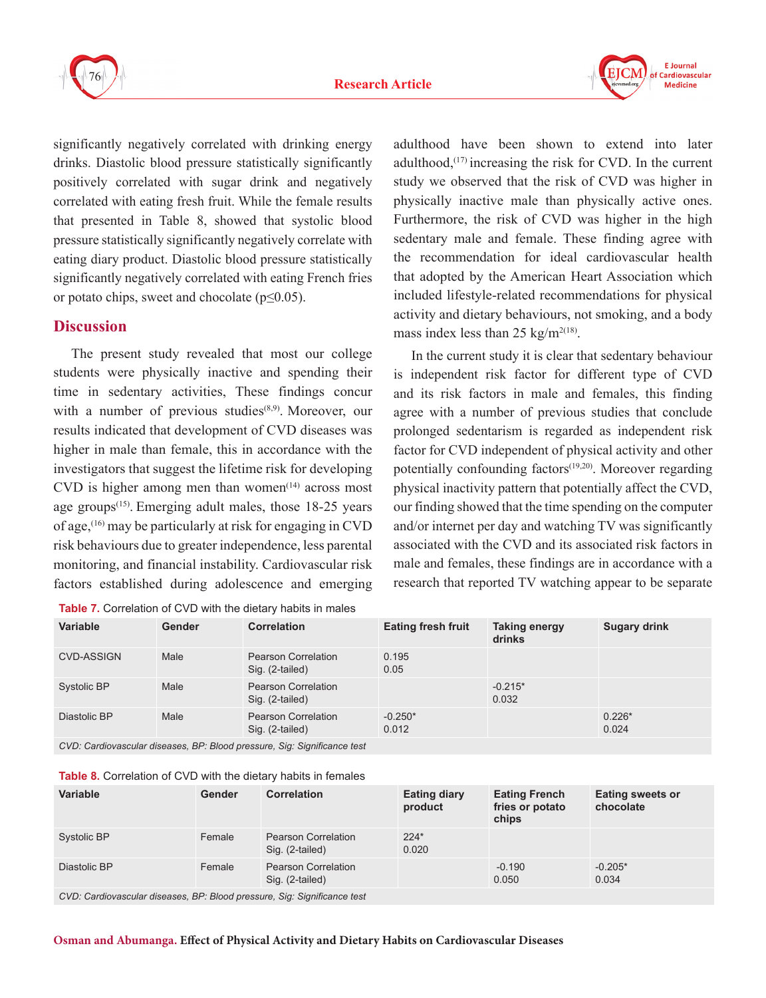



significantly negatively correlated with drinking energy drinks. Diastolic blood pressure statistically significantly positively correlated with sugar drink and negatively correlated with eating fresh fruit. While the female results that presented in Table 8, showed that systolic blood pressure statistically significantly negatively correlate with eating diary product. Diastolic blood pressure statistically significantly negatively correlated with eating French fries or potato chips, sweet and chocolate  $(p \le 0.05)$ .

## **Discussion**

The present study revealed that most our college students were physically inactive and spending their time in sedentary activities, These findings concur with a number of previous studies<sup>(8,9)</sup>. Moreover, our results indicated that development of CVD diseases was higher in male than female, this in accordance with the investigators that suggest the lifetime risk for developing CVD is higher among men than women $(14)$  across most age groups<sup> $(15)$ </sup>. Emerging adult males, those 18-25 years of age,(16) may be particularly at risk for engaging in CVD risk behaviours due to greater independence, less parental monitoring, and financial instability. Cardiovascular risk factors established during adolescence and emerging

|  |  |  |  |  | <b>Table 7.</b> Correlation of CVD with the dietary habits in males |
|--|--|--|--|--|---------------------------------------------------------------------|
|--|--|--|--|--|---------------------------------------------------------------------|

adulthood have been shown to extend into later adulthood, $(17)$  increasing the risk for CVD. In the current study we observed that the risk of CVD was higher in physically inactive male than physically active ones. Furthermore, the risk of CVD was higher in the high sedentary male and female. These finding agree with the recommendation for ideal cardiovascular health that adopted by the American Heart Association which included lifestyle-related recommendations for physical activity and dietary behaviours, not smoking, and a body mass index less than 25 kg/m<sup>2(18)</sup>.

In the current study it is clear that sedentary behaviour is independent risk factor for different type of CVD and its risk factors in male and females, this finding agree with a number of previous studies that conclude prolonged sedentarism is regarded as independent risk factor for CVD independent of physical activity and other potentially confounding factors<sup>(19,20)</sup>. Moreover regarding physical inactivity pattern that potentially affect the CVD, our finding showed that the time spending on the computer and/or internet per day and watching TV was significantly associated with the CVD and its associated risk factors in male and females, these findings are in accordance with a research that reported TV watching appear to be separate

| $\overline{\phantom{a}}$ |               |                                               |                           |                         |                     |  |  |
|--------------------------|---------------|-----------------------------------------------|---------------------------|-------------------------|---------------------|--|--|
| <b>Variable</b>          | <b>Gender</b> | <b>Correlation</b>                            | <b>Eating fresh fruit</b> | Taking energy<br>drinks | <b>Sugary drink</b> |  |  |
| <b>CVD-ASSIGN</b>        | Male          | Pearson Correlation<br>Sig. (2-tailed)        | 0.195<br>0.05             |                         |                     |  |  |
| Systolic BP              | Male          | <b>Pearson Correlation</b><br>Sig. (2-tailed) |                           | $-0.215*$<br>0.032      |                     |  |  |
| Diastolic BP             | Male          | <b>Pearson Correlation</b><br>Sig. (2-tailed) | $-0.250*$<br>0.012        |                         | $0.226*$<br>0.024   |  |  |
|                          |               |                                               |                           |                         |                     |  |  |

*CVD: Cardiovascular diseases, BP: Blood pressure, Sig: Significance test*

| <b>Variable</b> | Gender | Correlation                                   | <b>Eating diary</b><br>product | <b>Eating French</b><br>fries or potato<br>chips | <b>Eating sweets or</b><br>chocolate |
|-----------------|--------|-----------------------------------------------|--------------------------------|--------------------------------------------------|--------------------------------------|
| Systolic BP     | Female | <b>Pearson Correlation</b><br>Sig. (2-tailed) | $224*$<br>0.020                |                                                  |                                      |
| Diastolic BP    | Female | <b>Pearson Correlation</b><br>Sig. (2-tailed) |                                | $-0.190$<br>0.050                                | $-0.205*$<br>0.034                   |

*CVD: Cardiovascular diseases, BP: Blood pressure, Sig: Significance test*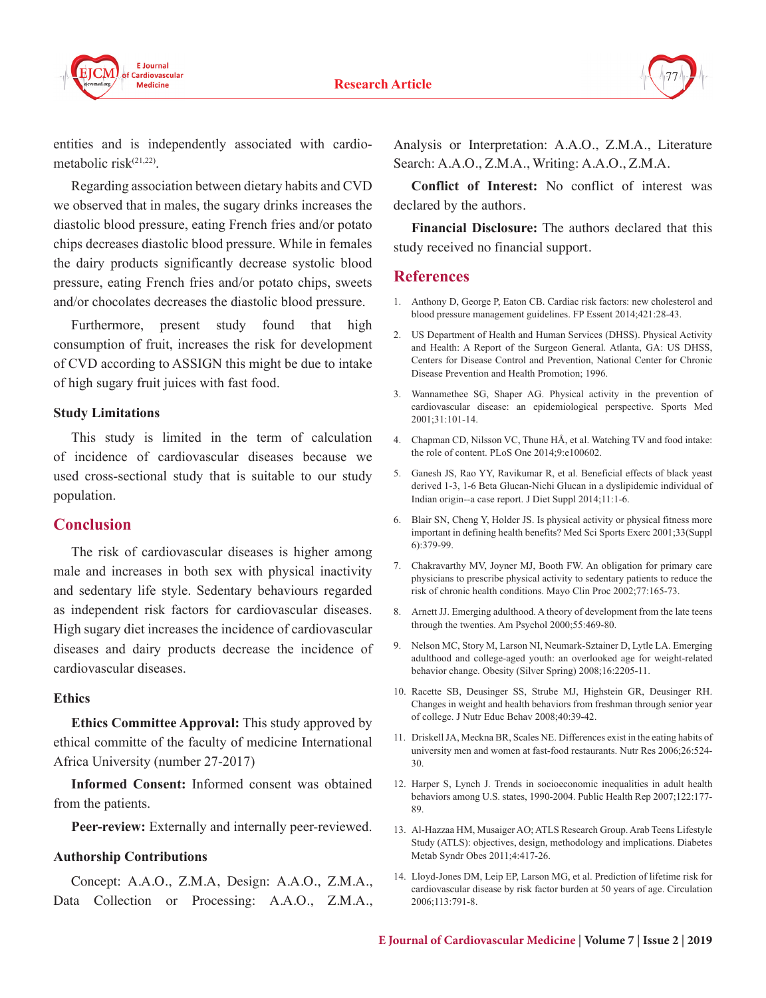



entities and is independently associated with cardiometabolic risk $(21,22)$ .

Regarding association between dietary habits and CVD we observed that in males, the sugary drinks increases the diastolic blood pressure, eating French fries and/or potato chips decreases diastolic blood pressure. While in females the dairy products significantly decrease systolic blood pressure, eating French fries and/or potato chips, sweets and/or chocolates decreases the diastolic blood pressure.

Furthermore, present study found that high consumption of fruit, increases the risk for development of CVD according to ASSIGN this might be due to intake of high sugary fruit juices with fast food.

#### **Study Limitations**

This study is limited in the term of calculation of incidence of cardiovascular diseases because we used cross-sectional study that is suitable to our study population.

## **Conclusion**

The risk of cardiovascular diseases is higher among male and increases in both sex with physical inactivity and sedentary life style. Sedentary behaviours regarded as independent risk factors for cardiovascular diseases. High sugary diet increases the incidence of cardiovascular diseases and dairy products decrease the incidence of cardiovascular diseases.

#### **Ethics**

**Ethics Committee Approval:** This study approved by ethical committe of the faculty of medicine International Africa University (number 27-2017)

**Informed Consent:** Informed consent was obtained from the patients.

Peer-review: Externally and internally peer-reviewed.

#### **Authorship Contributions**

Concept: A.A.O., Z.M.A, Design: A.A.O., Z.M.A., Data Collection or Processing: A.A.O., Z.M.A., Analysis or Interpretation: A.A.O., Z.M.A., Literature Search: A.A.O., Z.M.A., Writing: A.A.O., Z.M.A.

**Conflict of Interest:** No conflict of interest was declared by the authors.

**Financial Disclosure:** The authors declared that this study received no financial support.

#### **References**

- 1. Anthony D, George P, Eaton CB. Cardiac risk factors: new cholesterol and blood pressure management guidelines. FP Essent 2014;421:28-43.
- 2. US Department of Health and Human Services (DHSS). Physical Activity and Health: A Report of the Surgeon General. Atlanta, GA: US DHSS, Centers for Disease Control and Prevention, National Center for Chronic Disease Prevention and Health Promotion; 1996.
- 3. Wannamethee SG, Shaper AG. Physical activity in the prevention of cardiovascular disease: an epidemiological perspective. Sports Med 2001;31:101-14.
- 4. Chapman CD, Nilsson VC, Thune HÅ, et al. Watching TV and food intake: the role of content. PLoS One 2014;9:e100602.
- 5. Ganesh JS, Rao YY, Ravikumar R, et al. Beneficial effects of black yeast derived 1-3, 1-6 Beta Glucan-Nichi Glucan in a dyslipidemic individual of Indian origin--a case report. J Diet Suppl 2014;11:1-6.
- 6. Blair SN, Cheng Y, Holder JS. Is physical activity or physical fitness more important in defining health benefits? Med Sci Sports Exerc 2001;33(Suppl 6):379-99.
- 7. Chakravarthy MV, Joyner MJ, Booth FW. An obligation for primary care physicians to prescribe physical activity to sedentary patients to reduce the risk of chronic health conditions. Mayo Clin Proc 2002;77:165-73.
- 8. Arnett JJ. Emerging adulthood. A theory of development from the late teens through the twenties. Am Psychol 2000;55:469-80.
- 9. Nelson MC, Story M, Larson NI, Neumark-Sztainer D, Lytle LA. Emerging adulthood and college-aged youth: an overlooked age for weight-related behavior change. Obesity (Silver Spring) 2008;16:2205-11.
- 10. Racette SB, Deusinger SS, Strube MJ, Highstein GR, Deusinger RH. Changes in weight and health behaviors from freshman through senior year of college. J Nutr Educ Behav 2008;40:39-42.
- 11. Driskell JA, Meckna BR, Scales NE. Differences exist in the eating habits of university men and women at fast-food restaurants. Nutr Res 2006;26:524- 30.
- 12. Harper S, Lynch J. Trends in socioeconomic inequalities in adult health behaviors among U.S. states, 1990-2004. Public Health Rep 2007;122:177- 89.
- 13. Al-Hazzaa HM, Musaiger AO; ATLS Research Group. Arab Teens Lifestyle Study (ATLS): objectives, design, methodology and implications. Diabetes Metab Syndr Obes 2011;4:417-26.
- 14. Lloyd-Jones DM, Leip EP, Larson MG, et al. Prediction of lifetime risk for cardiovascular disease by risk factor burden at 50 years of age. Circulation 2006;113:791-8.